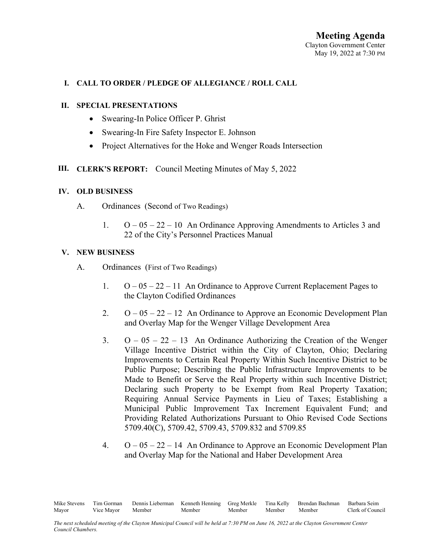## **I. CALL TO ORDER / PLEDGE OF ALLEGIANCE / ROLL CALL**

#### **II. SPECIAL PRESENTATIONS**

- Swearing-In Police Officer P. Ghrist
- Swearing-In Fire Safety Inspector E. Johnson
- Project Alternatives for the Hoke and Wenger Roads Intersection

## **III. CLERK'S REPORT:** Council Meeting Minutes of May 5, 2022

#### **IV. OLD BUSINESS**

- A. Ordinances (Second of Two Readings)
	- 1. O 05 22 10 An Ordinance Approving Amendments to Articles 3 and 22 of the City's Personnel Practices Manual

#### **V. NEW BUSINESS**

- A. Ordinances (First of Two Readings)
	- 1.  $O 05 22 11$  An Ordinance to Approve Current Replacement Pages to the Clayton Codified Ordinances
	- 2.  $O 05 22 12$  An Ordinance to Approve an Economic Development Plan and Overlay Map for the Wenger Village Development Area
	- 3.  $O 05 22 13$  An Ordinance Authorizing the Creation of the Wenger Village Incentive District within the City of Clayton, Ohio; Declaring Improvements to Certain Real Property Within Such Incentive District to be Public Purpose; Describing the Public Infrastructure Improvements to be Made to Benefit or Serve the Real Property within such Incentive District; Declaring such Property to be Exempt from Real Property Taxation; Requiring Annual Service Payments in Lieu of Taxes; Establishing a Municipal Public Improvement Tax Increment Equivalent Fund; and Providing Related Authorizations Pursuant to Ohio Revised Code Sections 5709.40(C), 5709.42, 5709.43, 5709.832 and 5709.85
	- 4.  $O 05 22 14$  An Ordinance to Approve an Economic Development Plan and Overlay Map for the National and Haber Development Area

Mike Stevens Tim Gorman Dennis Lieberman Kenneth Henning Greg Merkle Tina Kelly Brendan Bachman Barbara Seim Mayor Vice Mayor Member Member Member Member Member Clerk of Council